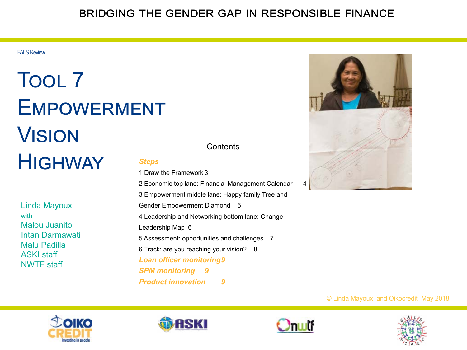#### bridging the gender gap in responsible finance

FALS Review

### Tool 7 **EMPOWERMENT VISION HIGHWAY** *Steps* 1 Draw the Framework 3

Linda Mayoux with Malou Juanito Intan Darmawati Malu Padilla ASKI staff NWTF staff

#### **Contents**

2 Economic top lane: Financial Management Calendar 4 3 Empowerment middle lane: Happy family Tree and Gender Empowerment Diamond 5 4 Leadership and Networking bottom lane: Change Leadership Map 6 5 Assessment: opportunities and challenges 7 6 Track: are you reaching your vision? 8 *Loan officer monitoring9 SPM monitoring 9 Product innovation 9*



© Linda Mayoux and Oikocredit May 2018







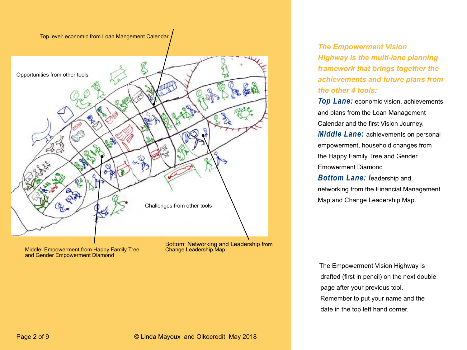



Middle: Empowerment from Happy Family Tree and Gender Empowerment Diamond

Bottom: Networking and Leadership from

*The Empowerment Vision Highway is the multi-lane planning framework that brings together the achievements and future plans from the other 4 tools:*

*Top Lane:* economic vision, achievements and plans from the Loan Management Calendar and the first Vision Journey. *Middle Lane:* achievements on personal empowerment, household changes from the Happy Family Tree and Gender Emowerment Diamond *Bottom Lane: l*eadership and networking from the Financial Management Map and Change Leadership Map.

The Empowerment Vision Highway is drafted (first in pencil) on the next double page after your previous tool. Remember to put your name and the date in the top left hand corner.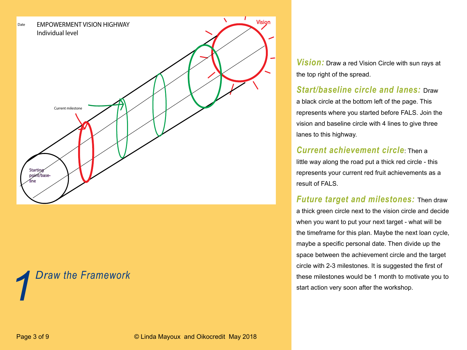

# *Draw the Framework*

*Vision:* Draw a red Vision Circle with sun rays at the top right of the spread.

#### *Start/baseline circle and lanes:* Draw

a black circle at the bottom left of the page. This represents where you started before FALS. Join the vision and baseline circle with 4 lines to give three lanes to this highway.

#### *Current achievement circle*: Then a

little way along the road put a thick red circle - this represents your current red fruit achievements as a result of FALS.

#### *Future target and milestones:* Then draw

a thick green circle next to the vision circle and decide when you want to put your next target - what will be the timeframe for this plan. Maybe the next loan cycle, maybe a specific personal date. Then divide up the space between the achievement circle and the target circle with 2-3 milestones. It is suggested the first of **these milestones would be 1 month to motivate you to**<br> **1 start action very soon after the workshop.**<br> **1** start action very soon after the workshop.

Page 3 of 9 © Linda Mayoux and Oikocredit May 2018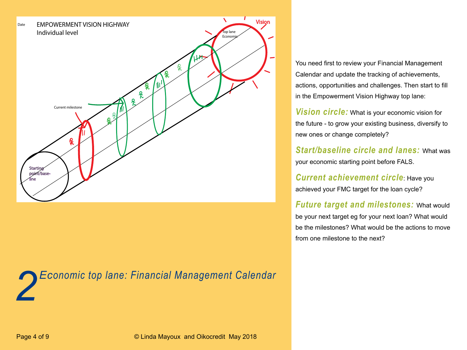

*2 Economic top lane: Financial Management Calendar*

You need first to review your Financial Management Calendar and update the tracking of achievements, actions, opportunities and challenges. Then start to fill in the Empowerment Vision Highway top lane:

*Vision circle:* What is your economic vision for the future - to grow your existing business, diversify to new ones or change completely?

*Start/baseline circle and lanes:* What was your economic starting point before FALS.

*Current achievement circle*: Have you achieved your FMC target for the loan cycle?

*Future target and milestones:* What would be your next target eg for your next loan? What would be the milestones? What would be the actions to move from one milestone to the next?

Page 4 of 9 © Linda Mayoux and Oikocredit May 2018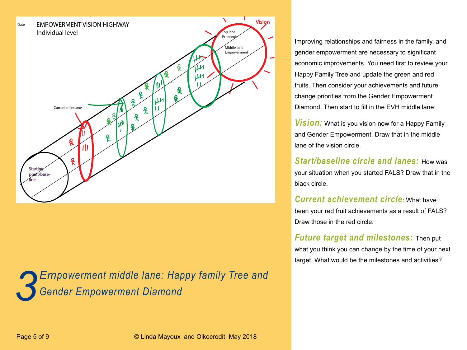

*3 Empowerment middle lane: Happy family Tree and Gender Empowerment Diamond*

Improving relationships and fairness in the family, and gender empowerment are necessary to significant economic improvements. You need first to review your Happy Family Tree and update the green and red fruits. Then consider your achievements and future change priorities from the Gender Empowerment Diamond. Then start to fill in the EVH middle lane:

*Vision:* What is you vision now for a Happy Family and Gender Empowerment. Draw that in the middle lane of the vision circle.

*Start/baseline circle and lanes:* How was your situation when you started FALS? Draw that in the black circle.

*Current achievement circle*: What have been your red fruit achievements as a result of FALS? Draw those in the red circle.

*Future target and milestones:* Then put what you think you can change by the time of your next target. What would be the milestones and activities?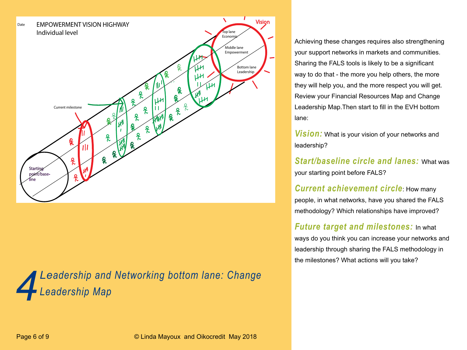

*4Leadership and Networking bottom lane: Change Leadership Map*

Achieving these changes requires also strengthening your support networks in markets and communities. Sharing the FALS tools is likely to be a significant way to do that - the more you help others, the more they will help you, and the more respect you will get. Review your Financial Resources Map and Change Leadership Map.Then start to fill in the EVH bottom lane:

*Vision:* What is your vision of your networks and leadership?

*Start/baseline circle and lanes:* What was your starting point before FALS?

*Current achievement circle*: How many people, in what networks, have you shared the FALS methodology? Which relationships have improved?

*Future target and milestones:* In what ways do you think you can increase your networks and leadership through sharing the FALS methodology in the milestones? What actions will you take?

Page 6 of 9 © Linda Mayoux and Oikocredit May 2018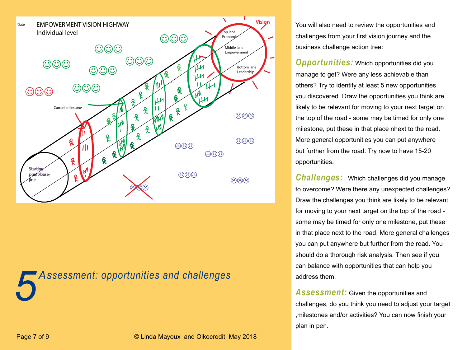

*5 Assessment: opportunities and challenges*

You will also need to review the opportunities and challenges from your first vision journey and the business challenge action tree:

*Opportunities:* Which opportunities did you manage to get? Were any less achievable than others? Try to identify at least 5 new opportunities you discovered. Draw the opportunities you think are likely to be relevant for moving to your next target on the top of the road - some may be timed for only one milestone, put these in that place nhext to the road. More general opportunities you can put anywhere but further from the road. Try now to have 15-20 opportunities.

*Challenges:* Which challenges did you manage to overcome? Were there any unexpected challenges? Draw the challenges you think are likely to be relevant for moving to your next target on the top of the road some may be timed for only one milestone, put these in that place next to the road. More general challenges you can put anywhere but further from the road. You should do a thorough risk analysis. Then see if you can balance with opportunities that can help you address them.

Assessment: Given the opportunities and challenges, do you think you need to adjust your target ,milestones and/or activities? You can now finish your plan in pen.

Page 7 of 9 © Linda Mayoux and Oikocredit May 2018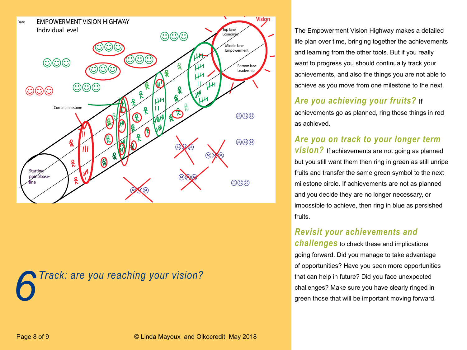



The Empowerment Vision Highway makes a detailed life plan over time, bringing together the achievements and learning from the other tools. But if you really want to progress you should continually track your achievements, and also the things you are not able to achieve as you move from one milestone to the next.

#### *Are you achieving your fruits?* If

achievements go as planned, ring those things in red as achieved.

#### *Are you on track to your longer term*

**vision?** If achievements are not going as planned but you still want them then ring in green as still unripe fruits and transfer the same green symbol to the next milestone circle. If achievements are not as planned and you decide they are no longer necessary, or impossible to achieve, then ring in blue as persished fruits.

#### *Revisit your achievements and*

*challenges* to check these and implications going forward. Did you manage to take advantage of opportunities? Have you seen more opportunities that can help in future? Did you face unexpected